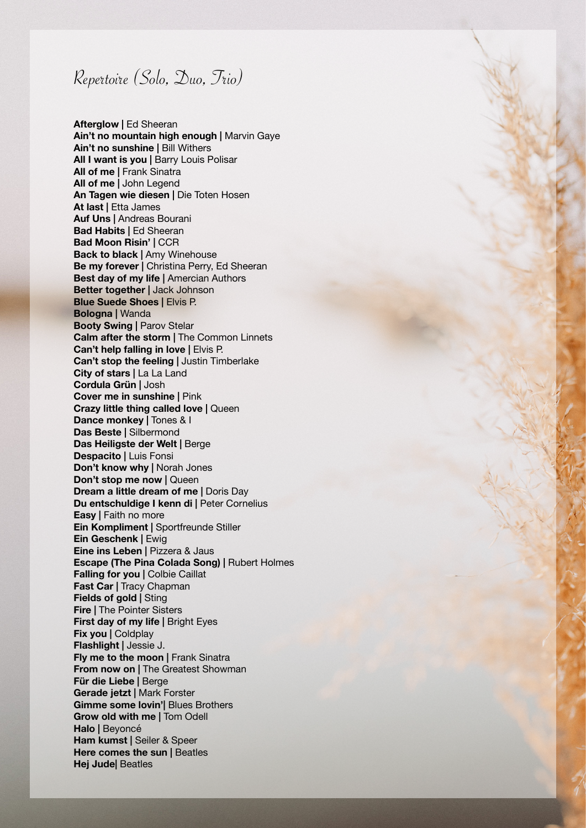Repertoire (Solo, Duo, Trio)

**Afterglow | Ed Sheeran Ain't no mountain high enough |** Marvin Gaye **Ain't no sunshine | Bill Withers All I want is you | Barry Louis Polisar All of me | Frank Sinatra All of me |** John Legend **An Tagen wie diesen |** Die Toten Hosen **At last |** Etta James **Auf Uns |** Andreas Bourani **Bad Habits |** Ed Sheeran **Bad Moon Risin' | CCR Back to black | Amy Winehouse Be my forever |** Christina Perry, Ed Sheeran **Best day of my life |** Amercian Authors **Better together |** Jack Johnson **Blue Suede Shoes | Elvis P. Bologna |** Wanda **Booty Swing | Parov Stelar Calm after the storm |** The Common Linnets **Can't help falling in love | Elvis P. Can't stop the feeling |** Justin Timberlake **City of stars |** La La Land **Cordula Grün |** Josh **Cover me in sunshine |** Pink **Crazy little thing called love |** Queen **Dance monkey |** Tones & I **Das Beste |** Silbermond **Das Heiligste der Welt |** Berge **Despacito |** Luis Fonsi **Don't know why |** Norah Jones **Don't stop me now |** Queen **Dream a little dream of me | Doris Day Du entschuldige I kenn di | Peter Cornelius Easy** | Faith no more **Ein Kompliment |** Sportfreunde Stiller **Ein Geschenk |** Ewig **Eine ins Leben |** Pizzera & Jaus **Escape (The Pina Colada Song) |** Rubert Holmes **Falling for you | Colbie Caillat Fast Car |** Tracy Chapman **Fields of gold |** Sting **Fire |** The Pointer Sisters **First day of my life | Bright Eyes Fix you |** Coldplay **Flashlight |** Jessie J. **Fly me to the moon | Frank Sinatra From now on |** The Greatest Showman **Für die Liebe |** Berge **Gerade jetzt |** Mark Forster **Gimme some lovin'| Blues Brothers Grow old with me |** Tom Odell **Halo |** Beyoncé **Ham kumst | Seiler & Speer Here comes the sun | Beatles Hej Jude|** Beatles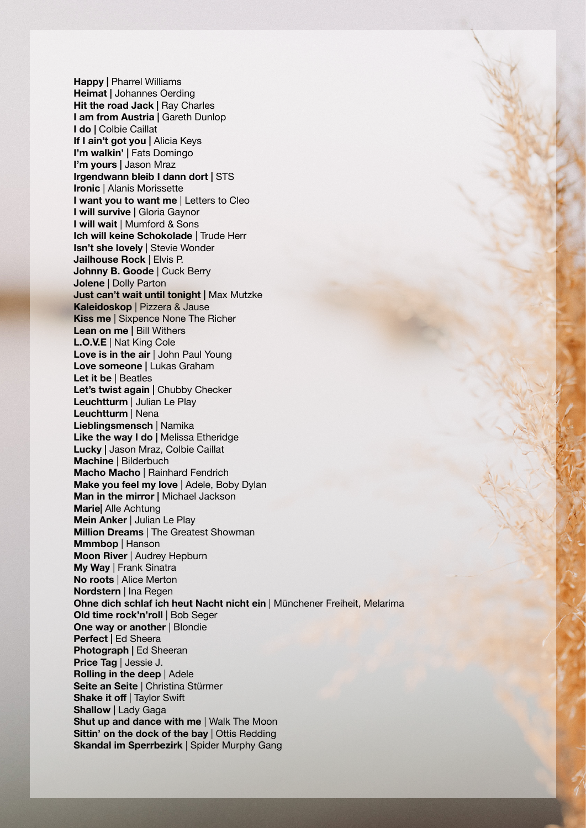**Happy | Pharrel Williams Heimat |** Johannes Oerding **Hit the road Jack | Ray Charles I am from Austria | Gareth Dunlop I do |** Colbie Caillat **If I ain't got you | Alicia Keys I'm walkin' |** Fats Domingo **I'm yours |** Jason Mraz **Irgendwann bleib I dann dort |** STS **Ironic** | Alanis Morissette **I want you to want me** | Letters to Cleo **I will survive |** Gloria Gaynor **I will wait** | Mumford & Sons **Ich will keine Schokolade** | Trude Herr **Isn't she lovely** | Stevie Wonder **Jailhouse Rock** | Elvis P. **Johnny B. Goode** | Cuck Berry **Jolene** | Dolly Parton **Just can't wait until tonight |** Max Mutzke **Kaleidoskop** | Pizzera & Jause **Kiss me** | Sixpence None The Richer **Lean on me | Bill Withers L.O.V.E** | Nat King Cole **Love is in the air** | John Paul Young **Love someone |** Lukas Graham **Let it be** | Beatles **Let's twist again |** Chubby Checker **Leuchtturm** | Julian Le Play **Leuchtturm** | Nena **Lieblingsmensch** | Namika **Like the way I do |** Melissa Etheridge **Lucky |** Jason Mraz, Colbie Caillat **Machine** | Bilderbuch **Macho Macho** | Rainhard Fendrich **Make you feel my love** | Adele, Boby Dylan **Man in the mirror |** Michael Jackson **Marie|** Alle Achtung **Mein Anker** | Julian Le Play **Million Dreams** | The Greatest Showman **Mmmbop** | Hanson **Moon River** | Audrey Hepburn **My Way** | Frank Sinatra **No roots** | Alice Merton **Nordstern** | Ina Regen **Ohne dich schlaf ich heut Nacht nicht ein** | Münchener Freiheit, Melarima **Old time rock'n'roll** | Bob Seger **One way or another** | Blondie **Perfect |** Ed Sheera **Photograph |** Ed Sheeran **Price Tag** | Jessie J. **Rolling in the deep** | Adele **Seite an Seite** | Christina Stürmer **Shake it of** | Taylor Swift **Shallow |** Lady Gaga **Shut up and dance with me** | Walk The Moon **Sittin' on the dock of the bay** | Ottis Redding **Skandal im Sperrbezirk** | Spider Murphy Gang